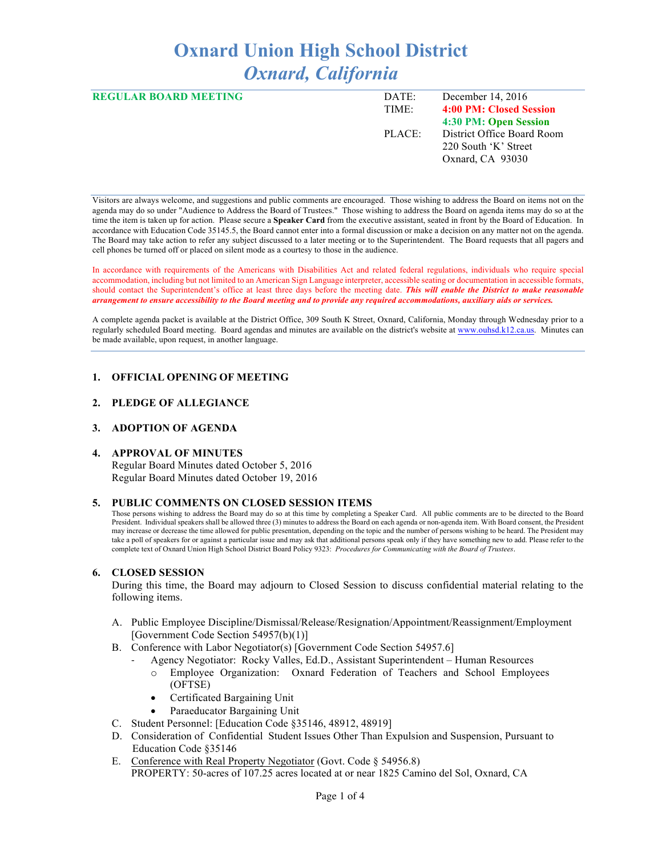# **Oxnard Union High School District** *Oxnard, California*

| <b>REGULAR BOARD MEETING</b> | DATE:  | December 14, $2016$        |
|------------------------------|--------|----------------------------|
|                              | TIME:  | 4:00 PM: Closed Session    |
|                              |        | 4:30 PM: Open Session      |
|                              | PLACE: | District Office Board Room |
|                              |        | 220 South 'K' Street       |
|                              |        | Oxnard, CA 93030           |
|                              |        |                            |

Visitors are always welcome, and suggestions and public comments are encouraged. Those wishing to address the Board on items not on the agenda may do so under "Audience to Address the Board of Trustees." Those wishing to address the Board on agenda items may do so at the time the item is taken up for action. Please secure a **Speaker Card** from the executive assistant, seated in front by the Board of Education. In accordance with Education Code 35145.5, the Board cannot enter into a formal discussion or make a decision on any matter not on the agenda. The Board may take action to refer any subject discussed to a later meeting or to the Superintendent. The Board requests that all pagers and cell phones be turned off or placed on silent mode as a courtesy to those in the audience.

In accordance with requirements of the Americans with Disabilities Act and related federal regulations, individuals who require special accommodation, including but not limited to an American Sign Language interpreter, accessible seating or documentation in accessible formats, should contact the Superintendent's office at least three days before the meeting date. *This will enable the District to make reasonable arrangement to ensure accessibility to the Board meeting and to provide any required accommodations, auxiliary aids or services.* 

A complete agenda packet is available at the District Office, 309 South K Street, Oxnard, California, Monday through Wednesday prior to a regularly scheduled Board meeting. Board agendas and minutes are available on the district's website at www.ouhsd.k12.ca.us.Minutes can be made available, upon request, in another language.

## **1. OFFICIAL OPENING OF MEETING**

#### **2. PLEDGE OF ALLEGIANCE**

#### **3. ADOPTION OF AGENDA**

#### **4. APPROVAL OF MINUTES**

Regular Board Minutes dated October 5, 2016 Regular Board Minutes dated October 19, 2016

#### **5. PUBLIC COMMENTS ON CLOSED SESSION ITEMS**

Those persons wishing to address the Board may do so at this time by completing a Speaker Card. All public comments are to be directed to the Board President. Individual speakers shall be allowed three (3) minutes to address the Board on each agenda or non-agenda item. With Board consent, the President may increase or decrease the time allowed for public presentation, depending on the topic and the number of persons wishing to be heard. The President may take a poll of speakers for or against a particular issue and may ask that additional persons speak only if they have something new to add. Please refer to the complete text of Oxnard Union High School District Board Policy 9323: *Procedures for Communicating with the Board of Trustees*.

#### **6. CLOSED SESSION**

During this time, the Board may adjourn to Closed Session to discuss confidential material relating to the following items.

- A. Public Employee Discipline/Dismissal/Release/Resignation/Appointment/Reassignment/Employment [Government Code Section 54957(b)(1)]
- B. Conference with Labor Negotiator(s) [Government Code Section 54957.6]
	- Agency Negotiator: Rocky Valles, Ed.D., Assistant Superintendent Human Resources o Employee Organization: Oxnard Federation of Teachers and School Employees
		- (OFTSE)
		- Certificated Bargaining Unit
	- Paraeducator Bargaining Unit
- C. Student Personnel: [Education Code §35146, 48912, 48919]
- D. Consideration of Confidential Student Issues Other Than Expulsion and Suspension, Pursuant to Education Code §35146
- E. Conference with Real Property Negotiator (Govt. Code § 54956.8) PROPERTY: 50-acres of 107.25 acres located at or near 1825 Camino del Sol, Oxnard, CA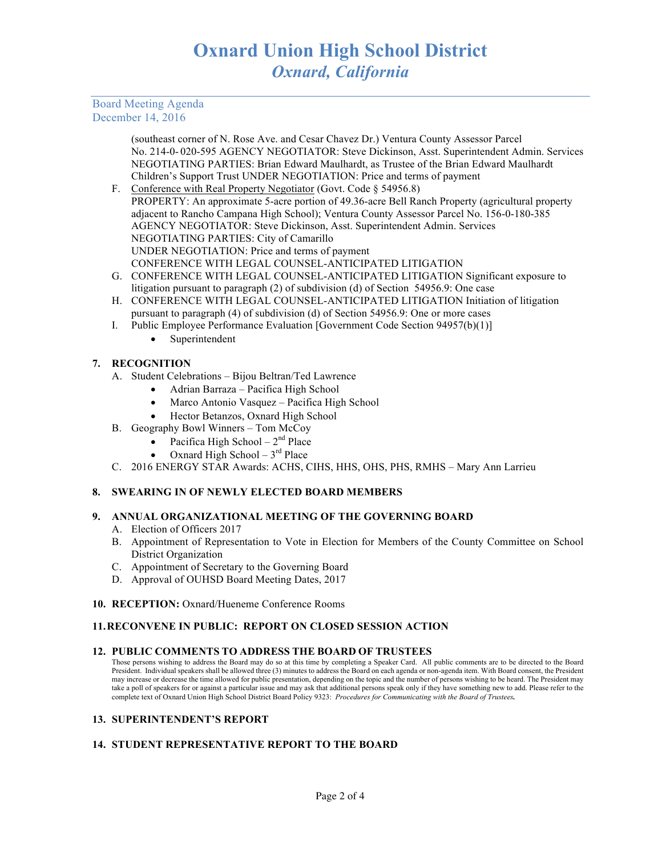# Board Meeting Agenda December 14, 2016

(southeast corner of N. Rose Ave. and Cesar Chavez Dr.) Ventura County Assessor Parcel No. 214-0- 020-595 AGENCY NEGOTIATOR: Steve Dickinson, Asst. Superintendent Admin. Services NEGOTIATING PARTIES: Brian Edward Maulhardt, as Trustee of the Brian Edward Maulhardt Children's Support Trust UNDER NEGOTIATION: Price and terms of payment

- F. Conference with Real Property Negotiator (Govt. Code § 54956.8) PROPERTY: An approximate 5-acre portion of 49.36-acre Bell Ranch Property (agricultural property adjacent to Rancho Campana High School); Ventura County Assessor Parcel No. 156-0-180-385 AGENCY NEGOTIATOR: Steve Dickinson, Asst. Superintendent Admin. Services NEGOTIATING PARTIES: City of Camarillo UNDER NEGOTIATION: Price and terms of payment CONFERENCE WITH LEGAL COUNSEL-ANTICIPATED LITIGATION
- G. CONFERENCE WITH LEGAL COUNSEL-ANTICIPATED LITIGATION Significant exposure to litigation pursuant to paragraph (2) of subdivision (d) of Section 54956.9: One case
- H. CONFERENCE WITH LEGAL COUNSEL-ANTICIPATED LITIGATION Initiation of litigation pursuant to paragraph (4) of subdivision (d) of Section 54956.9: One or more cases
- I. Public Employee Performance Evaluation [Government Code Section 94957(b)(1)]
	- Superintendent

# **7. RECOGNITION**

- A. Student Celebrations Bijou Beltran/Ted Lawrence
	- Adrian Barraza Pacifica High School
	- Marco Antonio Vasquez Pacifica High School
	- Hector Betanzos, Oxnard High School
- B. Geography Bowl Winners Tom McCoy
	- Pacifica High School  $2<sup>nd</sup>$  Place
		- Oxnard High School  $3<sup>rd</sup>$  Place
- C. 2016 ENERGY STAR Awards: ACHS, CIHS, HHS, OHS, PHS, RMHS Mary Ann Larrieu

# **8. SWEARING IN OF NEWLY ELECTED BOARD MEMBERS**

# **9. ANNUAL ORGANIZATIONAL MEETING OF THE GOVERNING BOARD**

- A. Election of Officers 2017
- B. Appointment of Representation to Vote in Election for Members of the County Committee on School District Organization
- C. Appointment of Secretary to the Governing Board
- D. Approval of OUHSD Board Meeting Dates, 2017
- **10. RECEPTION:** Oxnard/Hueneme Conference Rooms

# **11.RECONVENE IN PUBLIC: REPORT ON CLOSED SESSION ACTION**

## **12. PUBLIC COMMENTS TO ADDRESS THE BOARD OF TRUSTEES**

Those persons wishing to address the Board may do so at this time by completing a Speaker Card. All public comments are to be directed to the Board President. Individual speakers shall be allowed three (3) minutes to address the Board on each agenda or non-agenda item. With Board consent, the President may increase or decrease the time allowed for public presentation, depending on the topic and the number of persons wishing to be heard. The President may take a poll of speakers for or against a particular issue and may ask that additional persons speak only if they have something new to add. Please refer to the complete text of Oxnard Union High School District Board Policy 9323: *Procedures for Communicating with the Board of Trustees.*

## **13. SUPERINTENDENT'S REPORT**

# **14. STUDENT REPRESENTATIVE REPORT TO THE BOARD**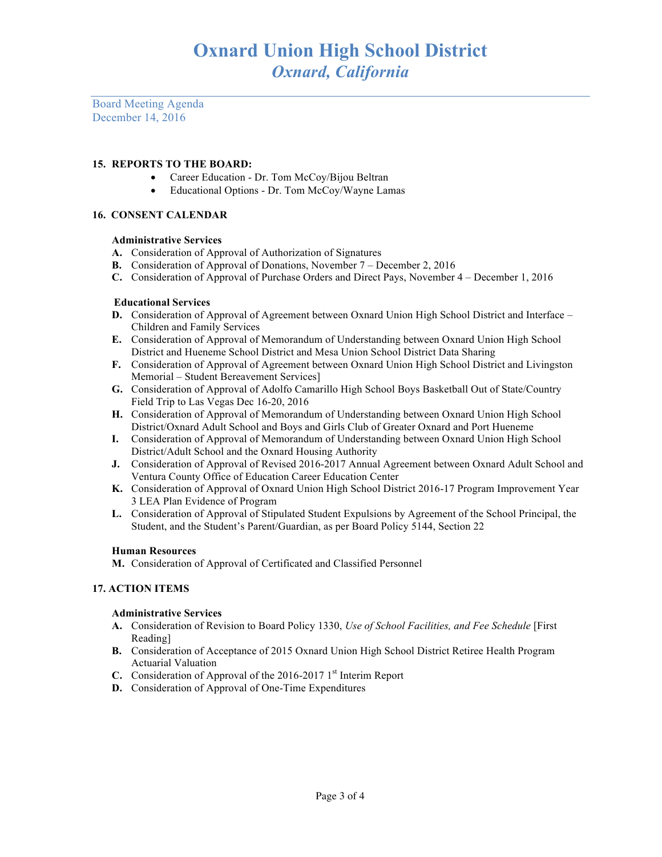Board Meeting Agenda December 14, 2016

## **15. REPORTS TO THE BOARD:**

- Career Education Dr. Tom McCoy/Bijou Beltran
- Educational Options Dr. Tom McCoy/Wayne Lamas

## **16. CONSENT CALENDAR**

## **Administrative Services**

- **A.** Consideration of Approval of Authorization of Signatures
- **B.** Consideration of Approval of Donations, November 7 December 2, 2016
- **C.** Consideration of Approval of Purchase Orders and Direct Pays, November 4 December 1, 2016

## **Educational Services**

- **D.** Consideration of Approval of Agreement between Oxnard Union High School District and Interface Children and Family Services
- **E.** Consideration of Approval of Memorandum of Understanding between Oxnard Union High School District and Hueneme School District and Mesa Union School District Data Sharing
- **F.** Consideration of Approval of Agreement between Oxnard Union High School District and Livingston Memorial – Student Bereavement Services]
- **G.** Consideration of Approval of Adolfo Camarillo High School Boys Basketball Out of State/Country Field Trip to Las Vegas Dec 16-20, 2016
- **H.** Consideration of Approval of Memorandum of Understanding between Oxnard Union High School District/Oxnard Adult School and Boys and Girls Club of Greater Oxnard and Port Hueneme
- **I.** Consideration of Approval of Memorandum of Understanding between Oxnard Union High School District/Adult School and the Oxnard Housing Authority
- **J.** Consideration of Approval of Revised 2016-2017 Annual Agreement between Oxnard Adult School and Ventura County Office of Education Career Education Center
- **K.** Consideration of Approval of Oxnard Union High School District 2016-17 Program Improvement Year 3 LEA Plan Evidence of Program
- **L.** Consideration of Approval of Stipulated Student Expulsions by Agreement of the School Principal, the Student, and the Student's Parent/Guardian, as per Board Policy 5144, Section 22

## **Human Resources**

**M.** Consideration of Approval of Certificated and Classified Personnel

## **17. ACTION ITEMS**

## **Administrative Services**

- **A.** Consideration of Revision to Board Policy 1330, *Use of School Facilities, and Fee Schedule* [First Reading]
- **B.** Consideration of Acceptance of 2015 Oxnard Union High School District Retiree Health Program Actuarial Valuation
- **C.** Consideration of Approval of the 2016-2017 1<sup>st</sup> Interim Report
- **D.** Consideration of Approval of One-Time Expenditures